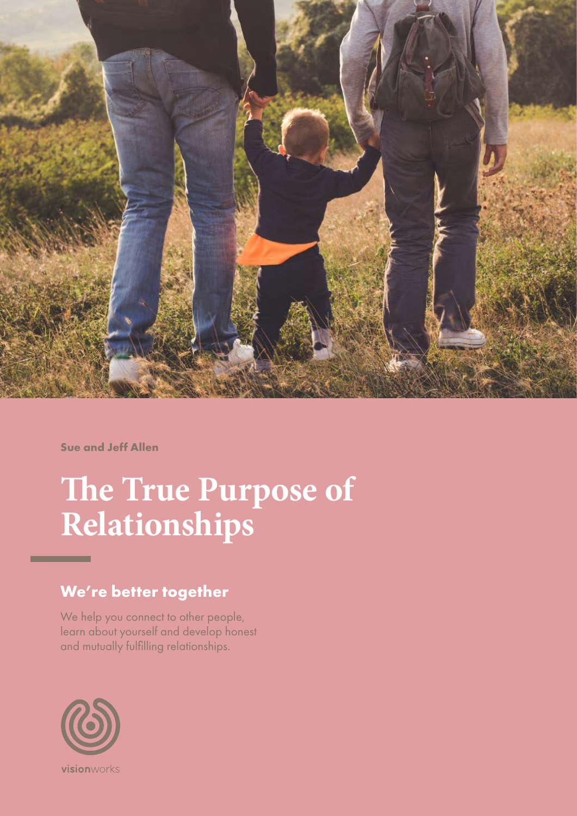

**Sue and Jeff Allen**

# **The True Purpose of Relationships**

## **We're better together**

We help you connect to other people, learn about yourself and develop honest and mutually fulfilling relationships.

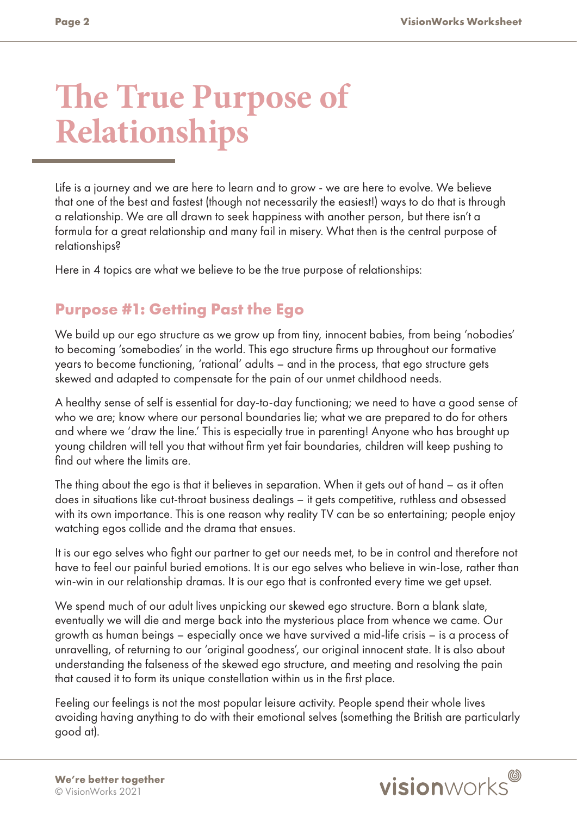# **The True Purpose of Relationships**

Life is a journey and we are here to learn and to grow - we are here to evolve. We believe that one of the best and fastest (though not necessarily the easiest!) ways to do that is through a relationship. We are all drawn to seek happiness with another person, but there isn't a formula for a great relationship and many fail in misery. What then is the central purpose of relationships?

Here in 4 topics are what we believe to be the true purpose of relationships:

# **Purpose #1: Getting Past the Ego**

We build up our ego structure as we grow up from tiny, innocent babies, from being 'nobodies' to becoming 'somebodies' in the world. This ego structure firms up throughout our formative years to become functioning, 'rational' adults – and in the process, that ego structure gets skewed and adapted to compensate for the pain of our unmet childhood needs.

A healthy sense of self is essential for day-to-day functioning; we need to have a good sense of who we are; know where our personal boundaries lie; what we are prepared to do for others and where we 'draw the line.' This is especially true in parenting! Anyone who has brought up young children will tell you that without firm yet fair boundaries, children will keep pushing to find out where the limits are.

The thing about the ego is that it believes in separation. When it gets out of hand – as it often does in situations like cut-throat business dealings – it gets competitive, ruthless and obsessed with its own importance. This is one reason why reality TV can be so entertaining; people enjoy watching egos collide and the drama that ensues.

It is our ego selves who fight our partner to get our needs met, to be in control and therefore not have to feel our painful buried emotions. It is our ego selves who believe in win-lose, rather than win-win in our relationship dramas. It is our ego that is confronted every time we get upset.

We spend much of our adult lives unpicking our skewed ego structure. Born a blank slate, eventually we will die and merge back into the mysterious place from whence we came. Our growth as human beings – especially once we have survived a mid-life crisis – is a process of unravelling, of returning to our 'original goodness', our original innocent state. It is also about understanding the falseness of the skewed ego structure, and meeting and resolving the pain that caused it to form its unique constellation within us in the first place.

Feeling our feelings is not the most popular leisure activity. People spend their whole lives avoiding having anything to do with their emotional selves (something the British are particularly good at).

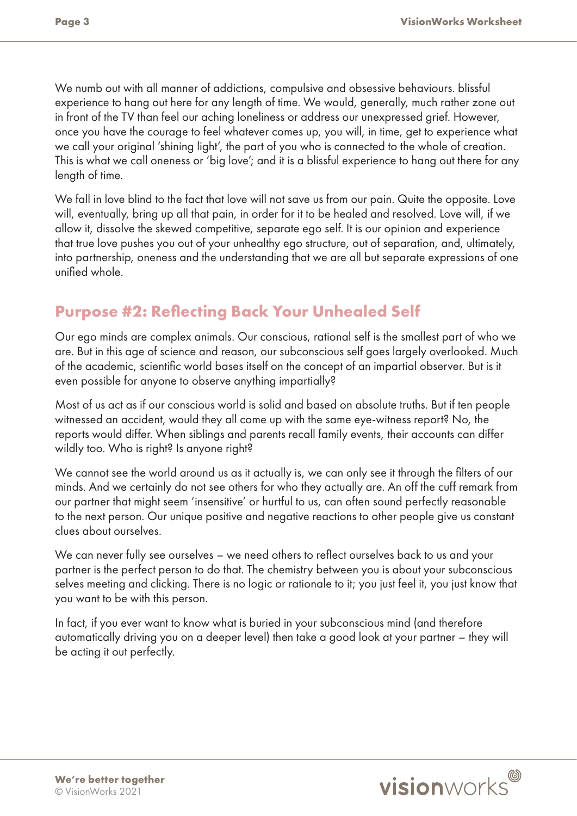We numb out with all manner of addictions, compulsive and obsessive behaviours. blissful experience to hang out here for any length of time. We would, generally, much rather zone out in front of the TV than feel our aching loneliness or address our unexpressed grief. However, once you have the courage to feel whatever comes up, you will, in time, get to experience what we call your original 'shining light', the part of you who is connected to the whole of creation. This is what we call oneness or 'big love'; and it is a blissful experience to hang out there for any length of time.

We fall in love blind to the fact that love will not save us from our pain. Quite the opposite. Love will, eventually, bring up all that pain, in order for it to be healed and resolved. Love will, if we allow it, dissolve the skewed competitive, separate ego self. It is our opinion and experience that true love pushes you out of your unhealthy ego structure, out of separation, and, ultimately, into partnership, oneness and the understanding that we are all but separate expressions of one unified whole.

# **Purpose #2: Reflecting Back Your Unhealed Self**

Our ego minds are complex animals. Our conscious, rational self is the smallest part of who we are. But in this age of science and reason, our subconscious self goes largely overlooked. Much of the academic, scientific world bases itself on the concept of an impartial observer. But is it even possible for anyone to observe anything impartially?

Most of us act as if our conscious world is solid and based on absolute truths. But if ten people witnessed an accident, would they all come up with the same eye-witness report? No, the reports would differ. When siblings and parents recall family events, their accounts can differ wildly too. Who is right? Is anyone right?

We cannot see the world around us as it actually is, we can only see it through the filters of our minds. And we certainly do not see others for who they actually are. An off the cuff remark from our partner that might seem 'insensitive' or hurtful to us, can often sound perfectly reasonable to the next person. Our unique positive and negative reactions to other people give us constant clues about ourselves.

We can never fully see ourselves – we need others to reflect ourselves back to us and your partner is the perfect person to do that. The chemistry between you is about your subconscious selves meeting and clicking. There is no logic or rationale to it; you just feel it, you just know that you want to be with this person.

In fact, if you ever want to know what is buried in your subconscious mind (and therefore automatically driving you on a deeper level) then take a good look at your partner – they will be acting it out perfectly.

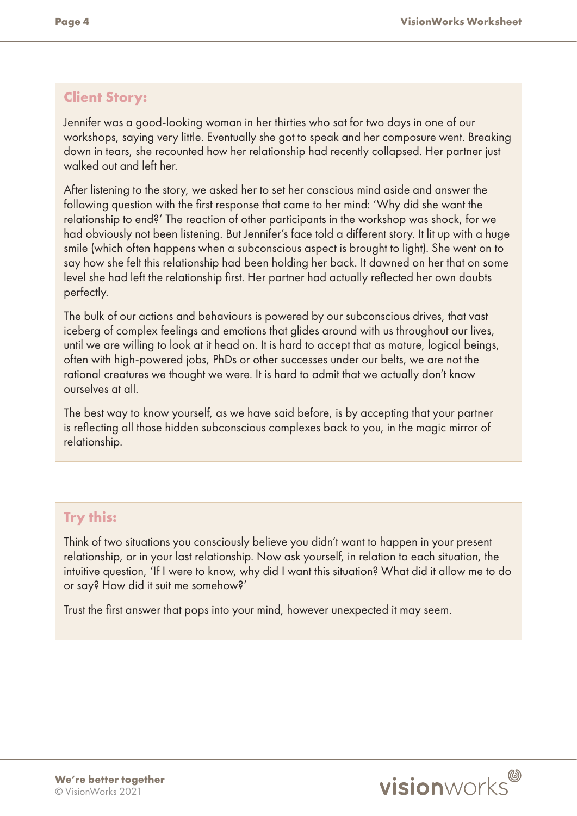#### **Client Story:**

Jennifer was a good-looking woman in her thirties who sat for two days in one of our workshops, saying very little. Eventually she got to speak and her composure went. Breaking down in tears, she recounted how her relationship had recently collapsed. Her partner just walked out and left her.

After listening to the story, we asked her to set her conscious mind aside and answer the following question with the first response that came to her mind: 'Why did she want the relationship to end?' The reaction of other participants in the workshop was shock, for we had obviously not been listening. But Jennifer's face told a different story. It lit up with a huge smile (which often happens when a subconscious aspect is brought to light). She went on to say how she felt this relationship had been holding her back. It dawned on her that on some level she had left the relationship first. Her partner had actually reflected her own doubts perfectly.

The bulk of our actions and behaviours is powered by our subconscious drives, that vast iceberg of complex feelings and emotions that glides around with us throughout our lives, until we are willing to look at it head on. It is hard to accept that as mature, logical beings, often with high-powered jobs, PhDs or other successes under our belts, we are not the rational creatures we thought we were. It is hard to admit that we actually don't know ourselves at all.

The best way to know yourself, as we have said before, is by accepting that your partner is reflecting all those hidden subconscious complexes back to you, in the magic mirror of relationship.

#### **Try this:**

Think of two situations you consciously believe you didn't want to happen in your present relationship, or in your last relationship. Now ask yourself, in relation to each situation, the intuitive question, 'If I were to know, why did I want this situation? What did it allow me to do or say? How did it suit me somehow?'

Trust the first answer that pops into your mind, however unexpected it may seem.

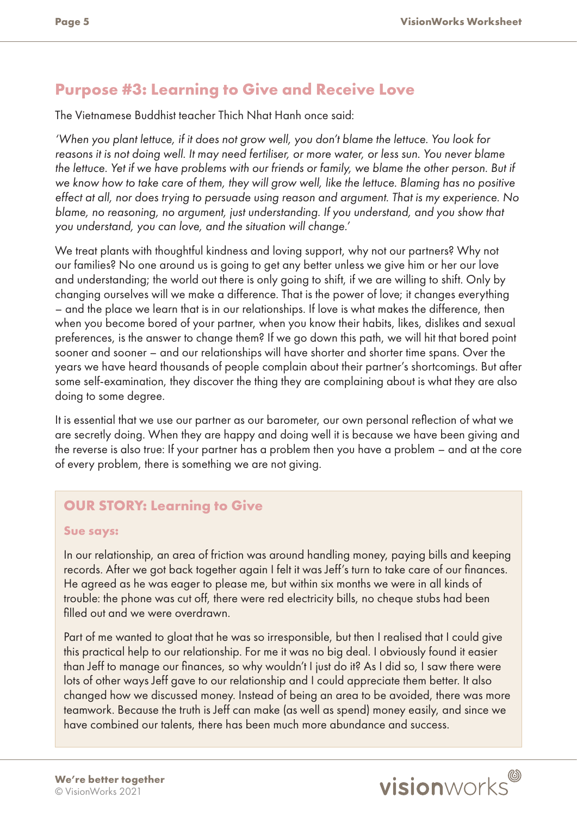### **Purpose #3: Learning to Give and Receive Love**

The Vietnamese Buddhist teacher Thich Nhat Hanh once said:

*'When you plant lettuce, if it does not grow well, you don't blame the lettuce. You look for reasons it is not doing well. It may need fertiliser, or more water, or less sun. You never blame the lettuce. Yet if we have problems with our friends or family, we blame the other person. But if we know how to take care of them, they will grow well, like the lettuce. Blaming has no positive effect at all, nor does trying to persuade using reason and argument. That is my experience. No blame, no reasoning, no argument, just understanding. If you understand, and you show that you understand, you can love, and the situation will change.'*

We treat plants with thoughtful kindness and loving support, why not our partners? Why not our families? No one around us is going to get any better unless we give him or her our love and understanding; the world out there is only going to shift, if we are willing to shift. Only by changing ourselves will we make a difference. That is the power of love; it changes everything – and the place we learn that is in our relationships. If love is what makes the difference, then when you become bored of your partner, when you know their habits, likes, dislikes and sexual preferences, is the answer to change them? If we go down this path, we will hit that bored point sooner and sooner – and our relationships will have shorter and shorter time spans. Over the years we have heard thousands of people complain about their partner's shortcomings. But after some self-examination, they discover the thing they are complaining about is what they are also doing to some degree.

It is essential that we use our partner as our barometer, our own personal reflection of what we are secretly doing. When they are happy and doing well it is because we have been giving and the reverse is also true: If your partner has a problem then you have a problem – and at the core of every problem, there is something we are not giving.

#### **OUR STORY: Learning to Give**

#### **Sue says:**

In our relationship, an area of friction was around handling money, paying bills and keeping records. After we got back together again I felt it was Jeff's turn to take care of our finances. He agreed as he was eager to please me, but within six months we were in all kinds of trouble: the phone was cut off, there were red electricity bills, no cheque stubs had been filled out and we were overdrawn.

Part of me wanted to gloat that he was so irresponsible, but then I realised that I could give this practical help to our relationship. For me it was no big deal. I obviously found it easier than Jeff to manage our finances, so why wouldn't I just do it? As I did so, I saw there were lots of other ways Jeff gave to our relationship and I could appreciate them better. It also changed how we discussed money. Instead of being an area to be avoided, there was more teamwork. Because the truth is Jeff can make (as well as spend) money easily, and since we have combined our talents, there has been much more abundance and success.

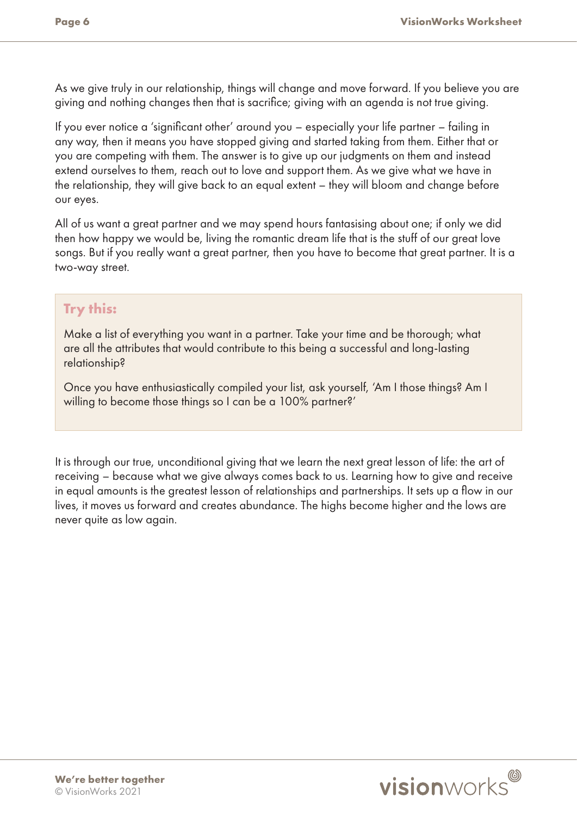As we give truly in our relationship, things will change and move forward. If you believe you are giving and nothing changes then that is sacrifice; giving with an agenda is not true giving.

If you ever notice a 'significant other' around you – especially your life partner – failing in any way, then it means you have stopped giving and started taking from them. Either that or you are competing with them. The answer is to give up our judgments on them and instead extend ourselves to them, reach out to love and support them. As we give what we have in the relationship, they will give back to an equal extent – they will bloom and change before our eyes.

All of us want a great partner and we may spend hours fantasising about one; if only we did then how happy we would be, living the romantic dream life that is the stuff of our great love songs. But if you really want a great partner, then you have to become that great partner. It is a two-way street.

#### **Try this:**

Make a list of everything you want in a partner. Take your time and be thorough; what are all the attributes that would contribute to this being a successful and long-lasting relationship?

Once you have enthusiastically compiled your list, ask yourself, 'Am I those things? Am I willing to become those things so I can be a 100% partner?'

It is through our true, unconditional giving that we learn the next great lesson of life: the art of receiving – because what we give always comes back to us. Learning how to give and receive in equal amounts is the greatest lesson of relationships and partnerships. It sets up a flow in our lives, it moves us forward and creates abundance. The highs become higher and the lows are never quite as low again.